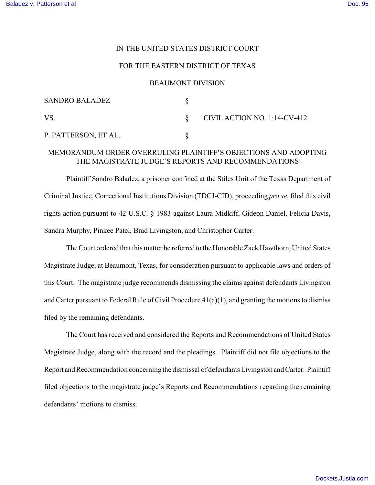### IN THE UNITED STATES DISTRICT COURT

## FOR THE EASTERN DISTRICT OF TEXAS

#### BEAUMONT DIVISION

| <b>SANDRO BALADEZ</b> |                              |
|-----------------------|------------------------------|
| VS                    | CIVIL ACTION NO. 1:14-CV-412 |
| P. PATTERSON, ET AL.  |                              |

# MEMORANDUM ORDER OVERRULING PLAINTIFF'S OBJECTIONS AND ADOPTING THE MAGISTRATE JUDGE'S REPORTS AND RECOMMENDATIONS

Plaintiff Sandro Baladez, a prisoner confined at the Stiles Unit of the Texas Department of Criminal Justice, Correctional Institutions Division (TDCJ-CID), proceeding *pro se*, filed this civil rights action pursuant to 42 U.S.C. § 1983 against Laura Midkiff, Gideon Daniel, Felicia Davis, Sandra Murphy, Pinkee Patel, Brad Livingston, and Christopher Carter.

The Court ordered that this matter be referred to the Honorable Zack Hawthorn, United States Magistrate Judge, at Beaumont, Texas, for consideration pursuant to applicable laws and orders of this Court. The magistrate judge recommends dismissing the claims against defendants Livingston and Carter pursuant to Federal Rule of Civil Procedure 41(a)(1), and granting the motions to dismiss filed by the remaining defendants.

The Court has received and considered the Reports and Recommendations of United States Magistrate Judge, along with the record and the pleadings. Plaintiff did not file objections to the Report and Recommendation concerning the dismissal of defendants Livingston and Carter. Plaintiff filed objections to the magistrate judge's Reports and Recommendations regarding the remaining defendants' motions to dismiss.